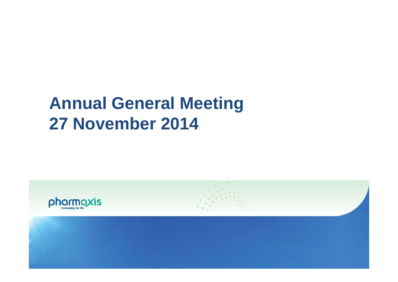# **Annual General Meeting 27 November 2014**

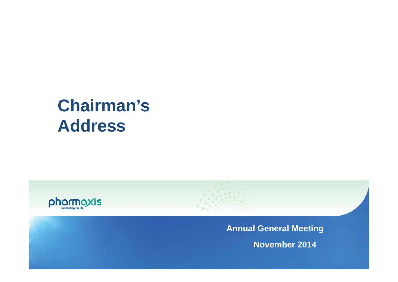# **Chairman's Address**



**Annual General Meeting**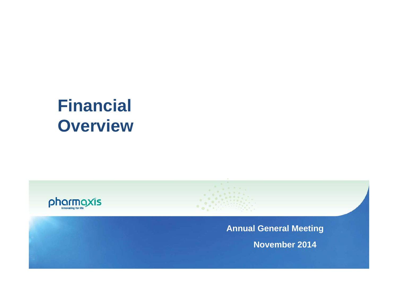# **Financial Overview**



**Annual General Meeting**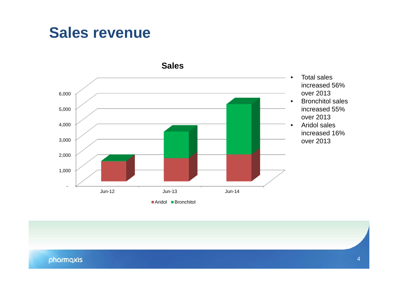### **Sales revenue**



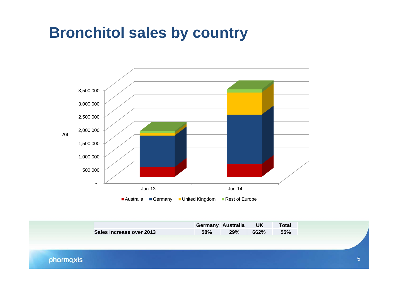### **Bronchitol sales by country**



|           |                          |     | Germany Australia | <u>UK</u> | <b>Total</b> |  |
|-----------|--------------------------|-----|-------------------|-----------|--------------|--|
|           | Sales increase over 2013 | 58% | 29%               | 662%      | 55%          |  |
|           |                          |     |                   |           |              |  |
|           |                          |     |                   |           |              |  |
| pharmaxis |                          |     |                   |           |              |  |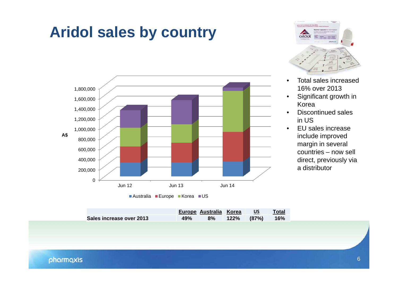## **Aridol sales by country**





- • Total sales increased 16% over 2013
- • Significant growth in Korea
- • Discontinued sales in US
- $\bullet$  EU sales increase include improved margin in several countries – now sell direct, previously via a distributor

|                          |     | Europe Australia Korea US |                   | Total |
|--------------------------|-----|---------------------------|-------------------|-------|
| Sales increase over 2013 | 49% |                           | 8% 122% (87%) 16% |       |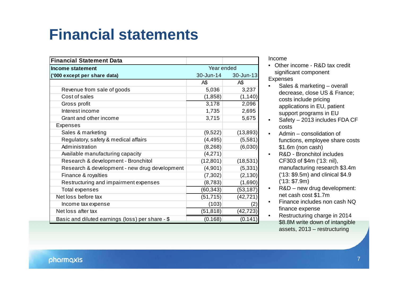## **Financial statements**

| <b>Financial Statement Data</b>                  |            |                   |  |
|--------------------------------------------------|------------|-------------------|--|
| <b>Income statement</b>                          | Year ended |                   |  |
| ('000 except per share data)                     | 30-Jun-14  | 30-Jun-13         |  |
|                                                  | A\$        | A\$               |  |
| Revenue from sale of goods                       | 5,036      | 3,237             |  |
| Cost of sales                                    | (1,858)    | (1, 140)          |  |
| Gross profit                                     | 3,178      | 2,096             |  |
| Interest income                                  | 1,735      | 2,695             |  |
| Grant and other income                           | 3,715      | 5,675             |  |
| <b>Expenses</b>                                  |            |                   |  |
| Sales & marketing                                | (9,522)    | (13, 893)         |  |
| Regulatory, safety & medical affairs             | (4, 495)   | (5,581)           |  |
| Administration                                   | (8, 268)   | (6,030)           |  |
| Available manufacturing capacity                 | (4,271)    |                   |  |
| Research & development - Bronchitol              | (12, 801)  | (18, 531)         |  |
| Research & development - new drug development    | (4,901)    | (5, 331)          |  |
| Finance & royalties                              | (7, 302)   | (2, 130)          |  |
| Restructuring and impairment expenses            | (8, 783)   | (1,690)           |  |
| <b>Total expenses</b>                            | (60, 343)  | (53, 187)         |  |
| Net loss before tax                              | (51, 715)  | (42, 721)         |  |
| Income tax expense                               | (103)      | $\left( 2\right)$ |  |
| Net loss after tax                               | (51, 818)  | (42, 723)         |  |
| Basic and diluted earnings (loss) per share - \$ | (0.168)    | (0.141)           |  |

Income

- Other income R&D tax credit significant component Expenses
- • Sales & marketing – overall decrease, close US & France; costs include pricing applications in EU, patient support programs in EU
- Safety 2013 includes FDA CF costs
- • Admin – consolidation of functions, employee share costs \$1.6m (non cash)
- $\bullet$  R&D - Bronchitol includes CF303 of \$4m ('13: nil), manufacturing research \$3.4m ('13: \$9.5m) and clinical \$4.9 ('13: \$7.9m)
- $\bullet$  R&D – new drug development: net cash cost \$1.7m
- • Finance includes non cash NQ finance expense
- • Restructuring charge in 2014 \$8.8M write down of intangible assets, 2013 – restructuring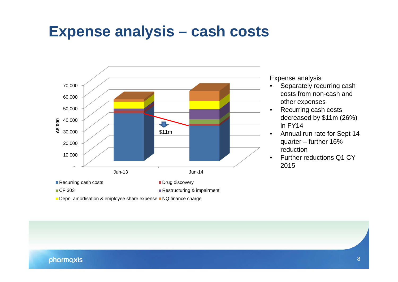### **Expense analysis – cash costs**



Expense analysis

- $\bullet$  Separately recurring cash costs from non-cash and other expenses
- • Recurring cash costs decreased by \$11m (26%) in FY14
- • Annual run rate for Sept 14 quarter – further 16% reduction
- •Further reductions Q1 CY

Depn, amortisation & employee share expense NQ finance charge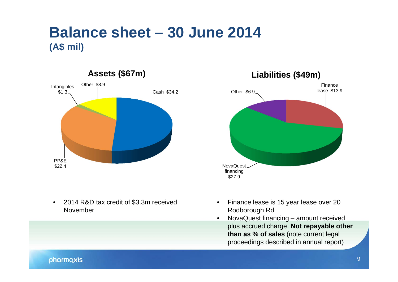### **Balance sheet – 30 June 2014 (A\$ mil)**







- $\bullet$  Finance lease is 15 year lease over 20 Rodborough Rd
- $\bullet$  NovaQuest financing – amount received plus accrued charge. **Not repayable other than as % of sales** (note current legal proceedings described in annual report)

#### pharmaxis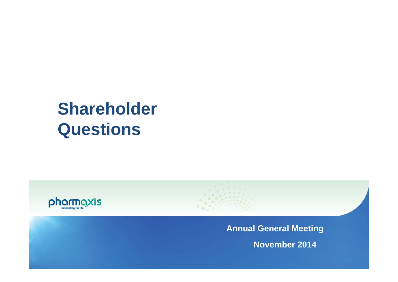# **Shareholder Questions**



**Annual General Meeting**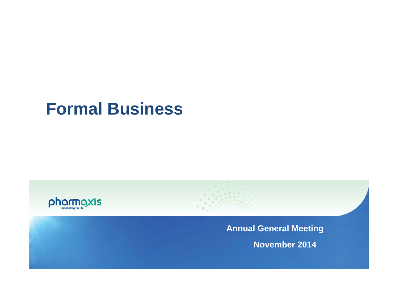## **Formal Business**



**Annual General Meeting**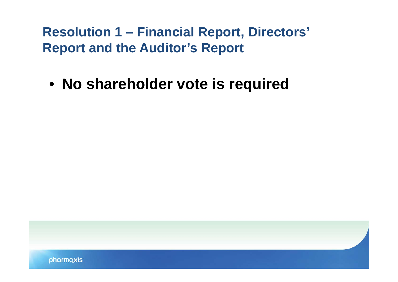**Resolution 1 – Financial Report, Directors' Report and the Auditor's Report**

• **No shareholder vote is required**

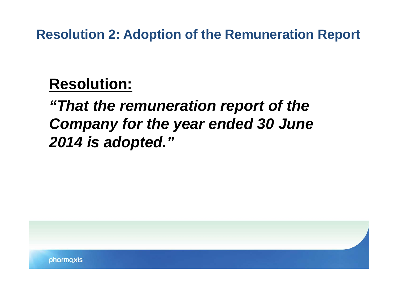**Resolution 2: Adoption of the Remuneration Report**

### **Resolution:**

## *"That the remuneration report of the Company for the year ended 30 June 2014 is adopted."*

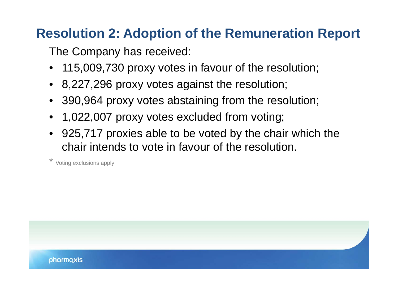### **Resolution 2: Adoption of the Remuneration Report**

The Company has received:

- •115,009,730 proxy votes in favour of the resolution;
- 8,227,296 proxy votes against the resolution;
- 390,964 proxy votes abstaining from the resolution;
- 1,022,007 proxy votes excluded from voting;
- 925,717 proxies able to be voted by the chair which the chair intends to vote in favour of the resolution.

Voting exclusions apply

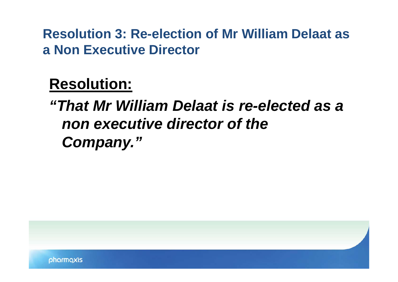**Resolution 3: Re-election of Mr William Delaat as a Non Executive Director**

**Resolution:**

*"That Mr William Delaat is re-elected as a non executive director of the Company."*

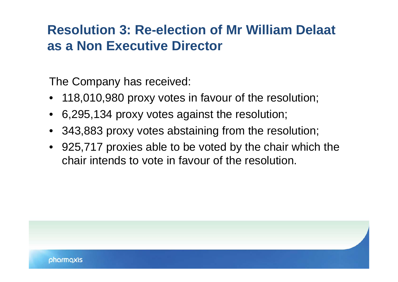### **Resolution 3: Re-election of Mr William Delaat as a Non Executive Director**

The Company has received:

- 118,010,980 proxy votes in favour of the resolution;
- 6,295,134 proxy votes against the resolution;
- 343,883 proxy votes abstaining from the resolution;
- 925,717 proxies able to be voted by the chair which the chair intends to vote in favour of the resolution.